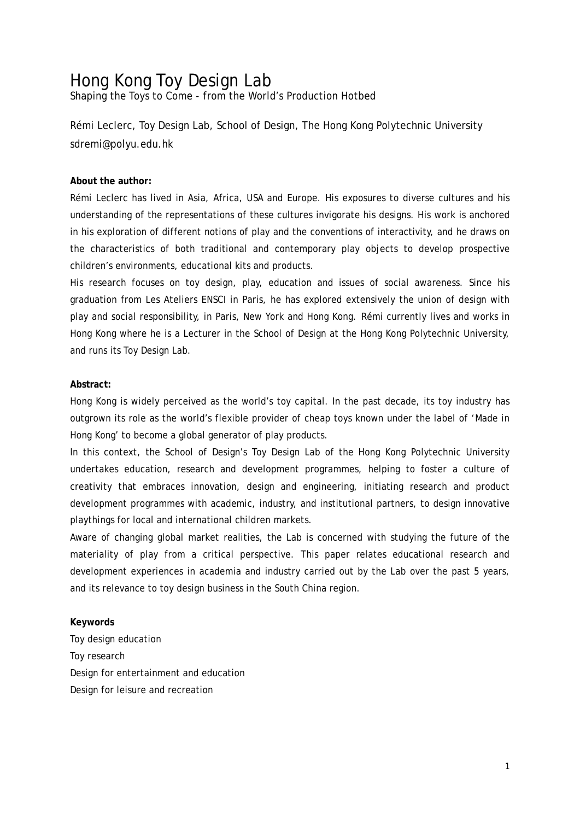# Hong Kong Toy Design Lab

Shaping the Toys to Come - from the World's Production Hotbed

Rémi Leclerc, Toy Design Lab, School of Design, The Hong Kong Polytechnic University sdremi@polyu.edu.hk

#### **About the author:**

Rémi Leclerc has lived in Asia, Africa, USA and Europe. His exposures to diverse cultures and his understanding of the representations of these cultures invigorate his designs. His work is anchored in his exploration of different notions of play and the conventions of interactivity, and he draws on the characteristics of both traditional and contemporary play objects to develop prospective children's environments, educational kits and products.

His research focuses on toy design, play, education and issues of social awareness. Since his graduation from Les Ateliers ENSCI in Paris, he has explored extensively the union of design with play and social responsibility, in Paris, New York and Hong Kong. Rémi currently lives and works in Hong Kong where he is a Lecturer in the School of Design at the Hong Kong Polytechnic University, and runs its Toy Design Lab.

#### **Abstract:**

Hong Kong is widely perceived as the world's toy capital. In the past decade, its toy industry has outgrown its role as the world's flexible provider of cheap toys known under the label of 'Made in Hong Kong' to become a global generator of play products.

In this context, the School of Design's Toy Design Lab of the Hong Kong Polytechnic University undertakes education, research and development programmes, helping to foster a culture of creativity that embraces innovation, design and engineering, initiating research and product development programmes with academic, industry, and institutional partners, to design innovative playthings for local and international children markets.

Aware of changing global market realities, the Lab is concerned with studying the future of the materiality of play from a critical perspective. This paper relates educational research and development experiences in academia and industry carried out by the Lab over the past 5 years, and its relevance to toy design business in the South China region.

#### **Keywords**

Toy design education Toy research Design for entertainment and education Design for leisure and recreation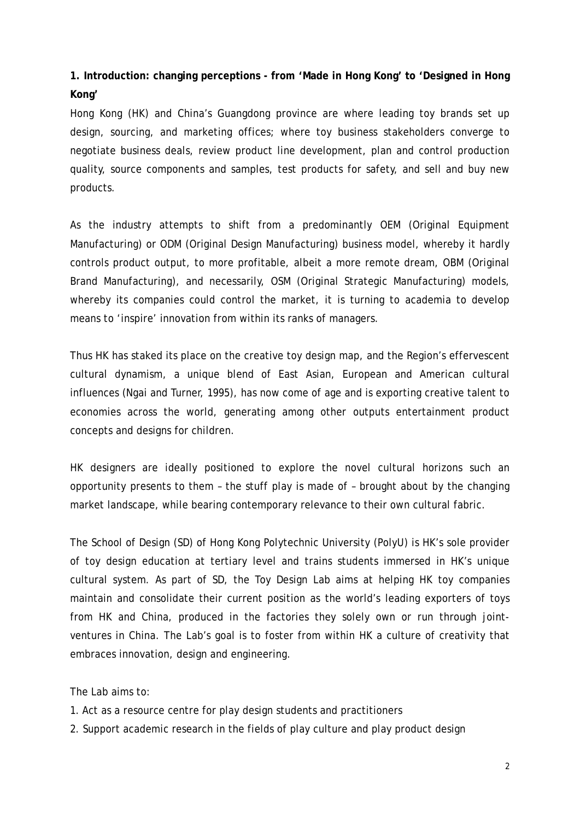## **1. Introduction: changing perceptions - from 'Made in Hong Kong' to 'Designed in Hong Kong'**

Hong Kong (HK) and China's Guangdong province are where leading toy brands set up design, sourcing, and marketing offices; where toy business stakeholders converge to negotiate business deals, review product line development, plan and control production quality, source components and samples, test products for safety, and sell and buy new products.

As the industry attempts to shift from a predominantly OEM (Original Equipment Manufacturing) or ODM (Original Design Manufacturing) business model, whereby it hardly controls product output, to more profitable, albeit a more remote dream, OBM (Original Brand Manufacturing), and necessarily, OSM (Original Strategic Manufacturing) models, whereby its companies could control the market, it is turning to academia to develop means to 'inspire' innovation from within its ranks of managers.

Thus HK has staked its place on the creative toy design map, and the Region's effervescent cultural dynamism, a unique blend of East Asian, European and American cultural influences (Ngai and Turner, 1995), has now come of age and is exporting creative talent to economies across the world, generating among other outputs entertainment product concepts and designs for children.

HK designers are ideally positioned to explore the novel cultural horizons such an opportunity presents to them – the stuff play is made of – brought about by the changing market landscape, while bearing contemporary relevance to their own cultural fabric.

The School of Design (SD) of Hong Kong Polytechnic University (PolyU) is HK's sole provider of toy design education at tertiary level and trains students immersed in HK's unique cultural system. As part of SD, the Toy Design Lab aims at helping HK toy companies maintain and consolidate their current position as the world's leading exporters of toys from HK and China, produced in the factories they solely own or run through jointventures in China. The Lab's goal is to foster from within HK a culture of creativity that embraces innovation, design and engineering.

The Lab aims to:

- 1. Act as a resource centre for play design students and practitioners
- 2. Support academic research in the fields of play culture and play product design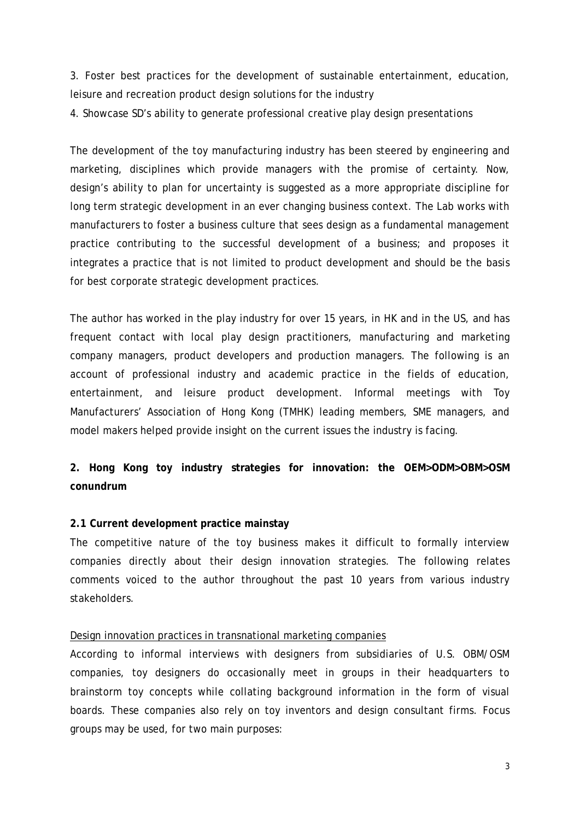3. Foster best practices for the development of sustainable entertainment, education, leisure and recreation product design solutions for the industry

4. Showcase SD's ability to generate professional creative play design presentations

The development of the toy manufacturing industry has been steered by engineering and marketing, disciplines which provide managers with the promise of certainty. Now, design's ability to plan for uncertainty is suggested as a more appropriate discipline for long term strategic development in an ever changing business context. The Lab works with manufacturers to foster a business culture that sees design as a fundamental management practice contributing to the successful development of a business; and proposes it integrates a practice that is not limited to product development and should be the basis for best corporate strategic development practices.

The author has worked in the play industry for over 15 years, in HK and in the US, and has frequent contact with local play design practitioners, manufacturing and marketing company managers, product developers and production managers. The following is an account of professional industry and academic practice in the fields of education, entertainment, and leisure product development. Informal meetings with Toy Manufacturers' Association of Hong Kong (TMHK) leading members, SME managers, and model makers helped provide insight on the current issues the industry is facing.

## **2. Hong Kong toy industry strategies for innovation: the OEM>ODM>OBM>OSM conundrum**

## **2.1 Current development practice mainstay**

The competitive nature of the toy business makes it difficult to formally interview companies directly about their design innovation strategies. The following relates comments voiced to the author throughout the past 10 years from various industry stakeholders.

#### Design innovation practices in transnational marketing companies

According to informal interviews with designers from subsidiaries of U.S. OBM/OSM companies, toy designers do occasionally meet in groups in their headquarters to brainstorm toy concepts while collating background information in the form of visual boards. These companies also rely on toy inventors and design consultant firms. Focus groups may be used, for two main purposes: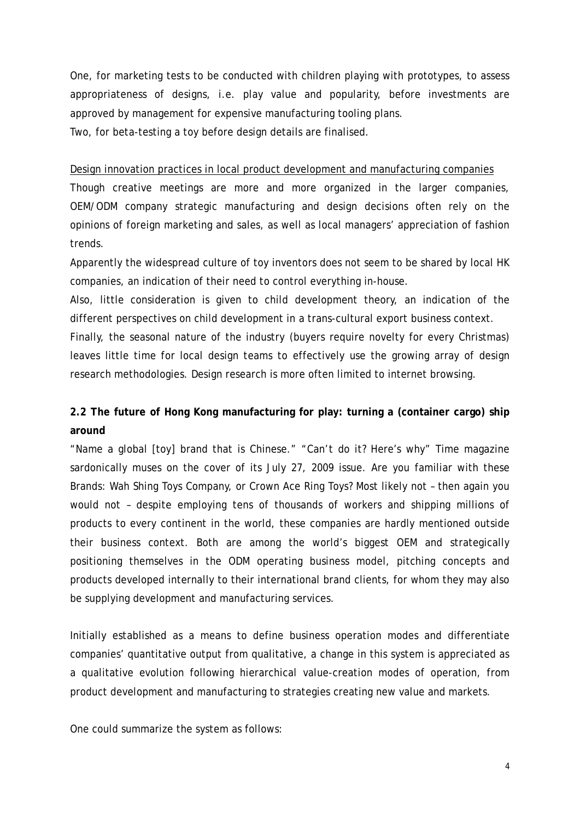One, for marketing tests to be conducted with children playing with prototypes, to assess appropriateness of designs, i.e. play value and popularity, before investments are approved by management for expensive manufacturing tooling plans.

Two, for beta-testing a toy before design details are finalised.

Design innovation practices in local product development and manufacturing companies

Though creative meetings are more and more organized in the larger companies, OEM/ODM company strategic manufacturing and design decisions often rely on the opinions of foreign marketing and sales, as well as local managers' appreciation of fashion trends.

Apparently the widespread culture of toy inventors does not seem to be shared by local HK companies, an indication of their need to control everything in-house.

Also, little consideration is given to child development theory, an indication of the different perspectives on child development in a trans-cultural export business context.

Finally, the seasonal nature of the industry (buyers require novelty for every Christmas) leaves little time for local design teams to effectively use the growing array of design research methodologies. Design research is more often limited to internet browsing.

## **2.2 The future of Hong Kong manufacturing for play: turning a (container cargo) ship around**

"Name a global [toy] brand that is Chinese." "Can't do it? Here's why" Time magazine sardonically muses on the cover of its July 27, 2009 issue. Are *you* familiar with these Brands: Wah Shing Toys Company, or Crown Ace Ring Toys? Most likely not – then again you would not – despite employing tens of thousands of workers and shipping millions of products to every continent in the world, these companies are hardly mentioned outside their business context. Both are among the world's biggest OEM and strategically positioning themselves in the ODM operating business model, pitching concepts and products developed internally to their international brand clients, for whom they may also be supplying development and manufacturing services.

Initially established as a means to define business operation modes and differentiate companies' quantitative output from qualitative, a change in this system is appreciated as a qualitative evolution following hierarchical value-creation modes of operation, from product development and manufacturing to strategies creating new value and markets.

One could summarize the system as follows: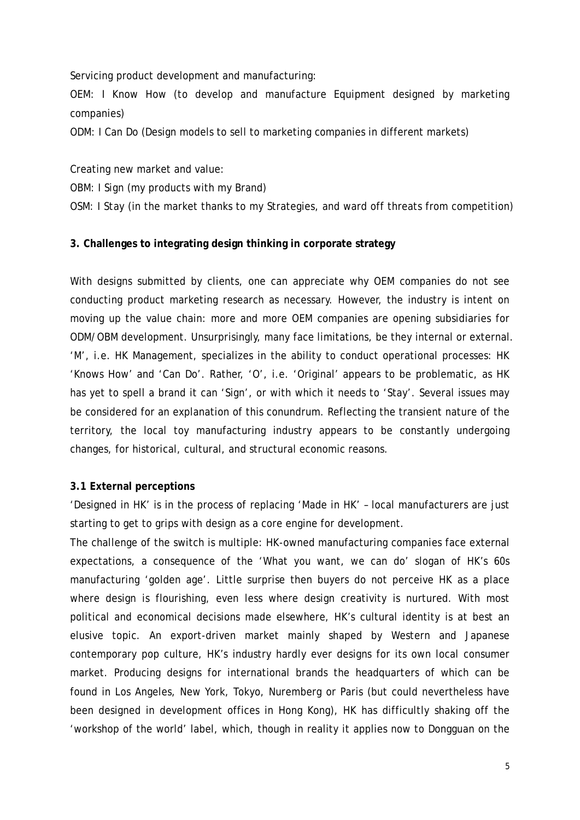Servicing product development and manufacturing:

OEM: *I Know How* (to develop and manufacture Equipment designed by marketing companies)

ODM: *I Can Do* (Design models to sell to marketing companies in different markets)

Creating new market and value:

OBM: *I Sign* (my products with my Brand)

OSM: *I Stay* (in the market thanks to my Strategies, and ward off threats from competition)

#### **3. Challenges to integrating design thinking in corporate strategy**

With designs submitted by clients, one can appreciate why OEM companies do not see conducting product marketing research as necessary. However, the industry is intent on moving up the value chain: more and more OEM companies are opening subsidiaries for ODM/OBM development. Unsurprisingly, many face limitations, be they internal or external. 'M', i.e. HK Management, specializes in the ability to conduct operational processes: HK 'Knows How' and 'Can Do'. Rather, 'O', i.e. 'Original' appears to be problematic, as HK has yet to spell a brand it can 'Sign', or with which it needs to 'Stay'. Several issues may be considered for an explanation of this conundrum. Reflecting the transient nature of the territory, the local toy manufacturing industry appears to be constantly undergoing changes, for historical, cultural, and structural economic reasons.

#### **3.1 External perceptions**

'Designed in HK' is in the process of replacing 'Made in HK' – local manufacturers are just starting to get to grips with design as a core engine for development.

The challenge of the switch is multiple: HK-owned manufacturing companies face external expectations, a consequence of the 'What you want, we can do' slogan of HK's 60s manufacturing 'golden age'. Little surprise then buyers do not perceive HK as a place where design is flourishing, even less where design creativity is nurtured. With most political and economical decisions made elsewhere, HK's cultural identity is at best an elusive topic. An export-driven market mainly shaped by Western and Japanese contemporary pop culture, HK's industry hardly ever designs for its own local consumer market. Producing designs for international brands the headquarters of which can be found in Los Angeles, New York, Tokyo, Nuremberg or Paris (but could nevertheless have been designed in development offices in Hong Kong), HK has difficultly shaking off the 'workshop of the world' label, which, though in reality it applies now to Dongguan on the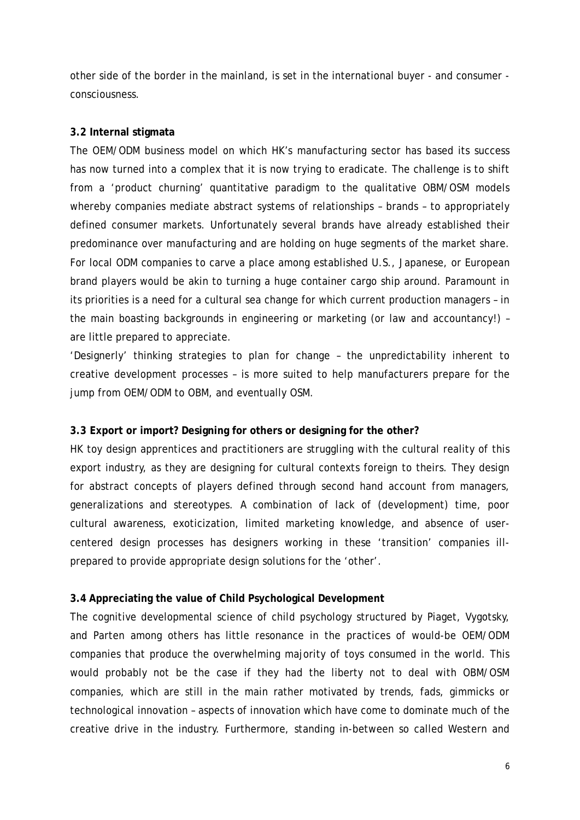other side of the border in the mainland, is set in the international buyer - and consumer consciousness.

## **3.2 Internal stigmata**

The OEM/ODM business model on which HK's manufacturing sector has based its success has now turned into a complex that it is now trying to eradicate. The challenge is to shift from a 'product churning' quantitative paradigm to the qualitative OBM/OSM models whereby companies mediate abstract systems of relationships – brands – to appropriately defined consumer markets. Unfortunately several brands have already established their predominance over manufacturing and are holding on huge segments of the market share. For local ODM companies to carve a place among established U.S., Japanese, or European brand players would be akin to turning a huge container cargo ship around. Paramount in its priorities is a need for a cultural sea change for which current production managers – in the main boasting backgrounds in engineering or marketing (or law and accountancy!) – are little prepared to appreciate.

'Designerly' thinking strategies to plan for change – the unpredictability inherent to creative development processes – is more suited to help manufacturers prepare for the jump from OEM/ODM to OBM, and eventually OSM.

## **3.3 Export or import? Designing for others or designing for the other?**

HK toy design apprentices and practitioners are struggling with the cultural reality of this export industry, as they are designing for cultural contexts foreign to theirs. They design for abstract concepts of players defined through second hand account from managers, generalizations and stereotypes. A combination of lack of (development) time, poor cultural awareness, exoticization, limited marketing knowledge, and absence of usercentered design processes has designers working in these 'transition' companies illprepared to provide appropriate design solutions for the 'other'.

## **3.4 Appreciating the value of Child Psychological Development**

The cognitive developmental science of child psychology structured by Piaget, Vygotsky, and Parten among others has little resonance in the practices of would-be OEM/ODM companies that produce the overwhelming majority of toys consumed in the world. This would probably not be the case if they had the liberty not to deal with OBM/OSM companies, which are still in the main rather motivated by trends, fads, gimmicks or technological innovation – aspects of innovation which have come to dominate much of the creative drive in the industry. Furthermore, standing in-between so called Western and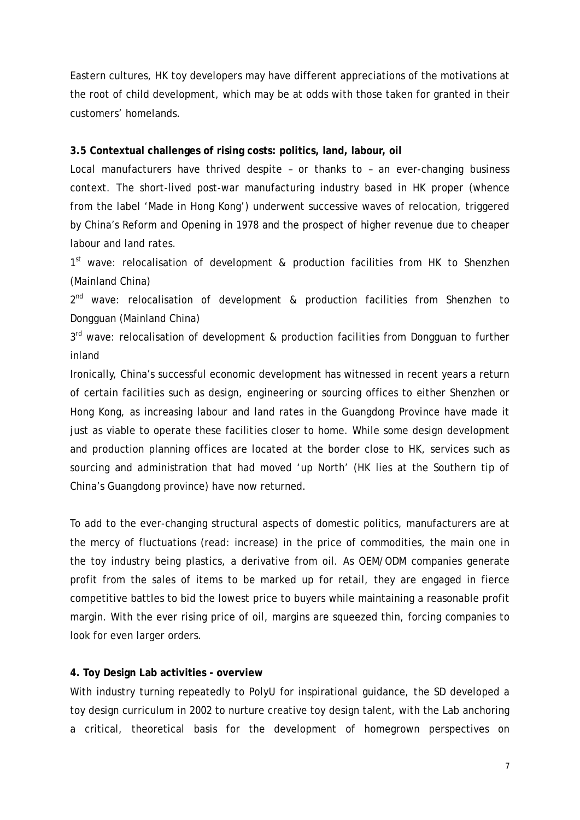Eastern cultures, HK toy developers may have different appreciations of the motivations at the root of child development, which may be at odds with those taken for granted in their customers' homelands.

#### **3.5 Contextual challenges of rising costs: politics, land, labour, oil**

Local manufacturers have thrived despite – or thanks to – an ever-changing business context. The short-lived post-war manufacturing industry based in HK proper (whence from the label 'Made in Hong Kong') underwent successive waves of relocation, triggered by China's Reform and Opening in 1978 and the prospect of higher revenue due to cheaper labour and land rates.

1<sup>st</sup> wave: relocalisation of development & production facilities from HK to Shenzhen (Mainland China)

 $2^{nd}$  wave: relocalisation of development & production facilities from Shenzhen to Dongguan (Mainland China)

3<sup>rd</sup> wave: relocalisation of development & production facilities from Dongguan to further inland

Ironically, China's successful economic development has witnessed in recent years a return of certain facilities such as design, engineering or sourcing offices to either Shenzhen or Hong Kong, as increasing labour and land rates in the Guangdong Province have made it just as viable to operate these facilities closer to home. While some design development and production planning offices are located at the border close to HK, services such as sourcing and administration that had moved 'up North' (HK lies at the Southern tip of China's Guangdong province) have now returned.

To add to the ever-changing structural aspects of domestic politics, manufacturers are at the mercy of fluctuations (read: increase) in the price of commodities, the main one in the toy industry being plastics, a derivative from oil. As OEM/ODM companies generate profit from the sales of items to be marked up for retail, they are engaged in fierce competitive battles to bid the lowest price to buyers while maintaining a reasonable profit margin. With the ever rising price of oil, margins are squeezed thin, forcing companies to look for even larger orders.

#### **4. Toy Design Lab activities - overview**

With industry turning repeatedly to PolyU for inspirational guidance, the SD developed a toy design curriculum in 2002 to nurture creative toy design talent, with the Lab anchoring a critical, theoretical basis for the development of homegrown perspectives on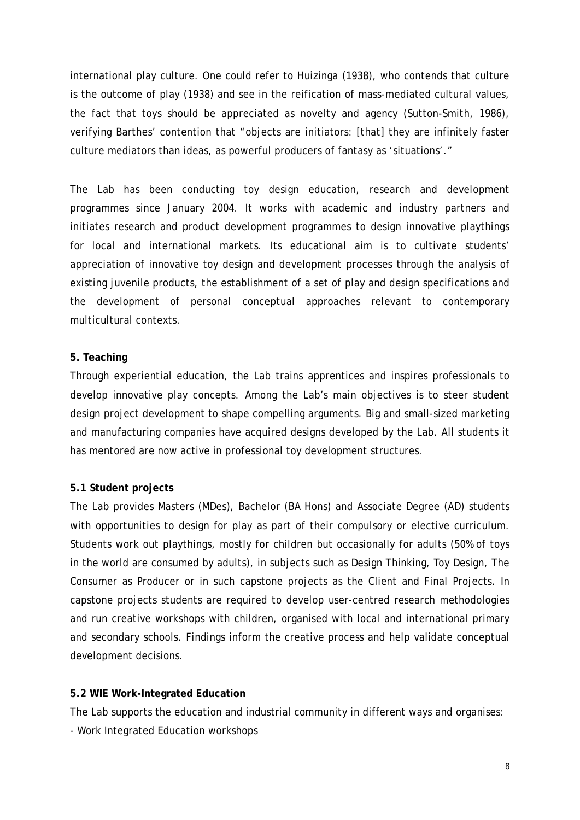international play culture. One could refer to Huizinga (1938), who contends that culture is the outcome of play (1938) and see in the reification of mass-mediated cultural values, the fact that toys should be appreciated as *novelty* and *agency* (Sutton-Smith, 1986), verifying Barthes' contention that "objects are initiators: [that] they are infinitely faster culture mediators than ideas, as powerful producers of fantasy as 'situations'."

The Lab has been conducting toy design education, research and development programmes since January 2004. It works with academic and industry partners and initiates research and product development programmes to design innovative playthings for local and international markets. Its educational aim is to cultivate students' appreciation of innovative toy design and development processes through the analysis of existing juvenile products, the establishment of a set of play and design specifications and the development of personal conceptual approaches relevant to contemporary multicultural contexts.

## **5. Teaching**

Through experiential education, the Lab trains apprentices and inspires professionals to develop innovative play concepts. Among the Lab's main objectives is to steer student design project development to shape compelling arguments. Big and small-sized marketing and manufacturing companies have acquired designs developed by the Lab. All students it has mentored are now active in professional toy development structures.

## **5.1 Student projects**

The Lab provides Masters (MDes), Bachelor (BA Hons) and Associate Degree (AD) students with opportunities to design for play as part of their compulsory or elective curriculum. Students work out playthings, mostly for children but occasionally for adults (50% of toys in the world are consumed by adults), in subjects such as Design Thinking, Toy Design, The Consumer as Producer or in such capstone projects as the Client and Final Projects. In capstone projects students are required to develop user-centred research methodologies and run creative workshops with children, organised with local and international primary and secondary schools. Findings inform the creative process and help validate conceptual development decisions.

#### **5.2 WIE Work-Integrated Education**

The Lab supports the education and industrial community in different ways and organises: - Work Integrated Education workshops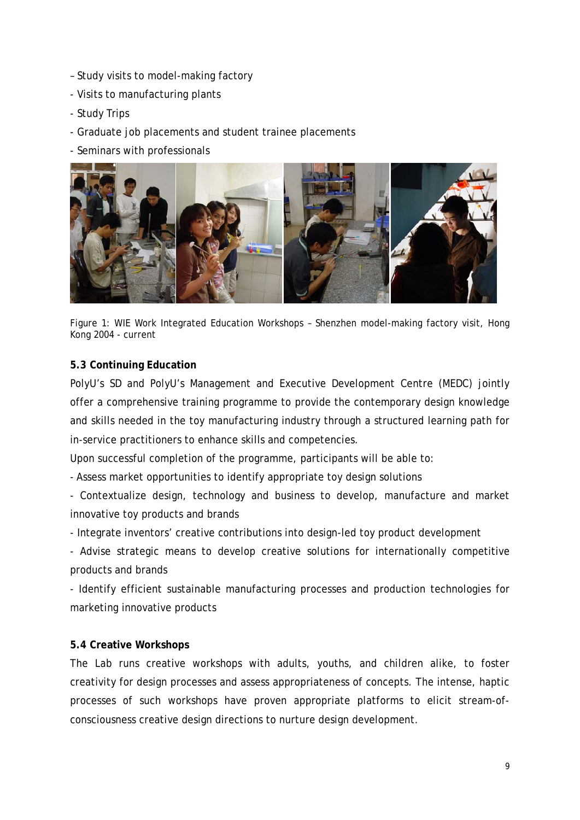- Study visits to model-making factory
- Visits to manufacturing plants
- Study Trips
- Graduate job placements and student trainee placements
- Seminars with professionals



Figure 1: WIE Work Integrated Education Workshops – Shenzhen model-making factory visit, Hong Kong 2004 - current

## **5.3 Continuing Education**

PolyU's SD and PolyU's Management and Executive Development Centre (MEDC) jointly offer a comprehensive training programme to provide the contemporary design knowledge and skills needed in the toy manufacturing industry through a structured learning path for in-service practitioners to enhance skills and competencies.

Upon successful completion of the programme, participants will be able to:

- Assess market opportunities to identify appropriate toy design solutions

- Contextualize design, technology and business to develop, manufacture and market innovative toy products and brands

- Integrate inventors' creative contributions into design-led toy product development

- Advise strategic means to develop creative solutions for internationally competitive products and brands

- Identify efficient sustainable manufacturing processes and production technologies for marketing innovative products

## **5.4 Creative Workshops**

The Lab runs creative workshops with adults, youths, and children alike, to foster creativity for design processes and assess appropriateness of concepts. The intense, haptic processes of such workshops have proven appropriate platforms to elicit stream-ofconsciousness creative design directions to nurture design development.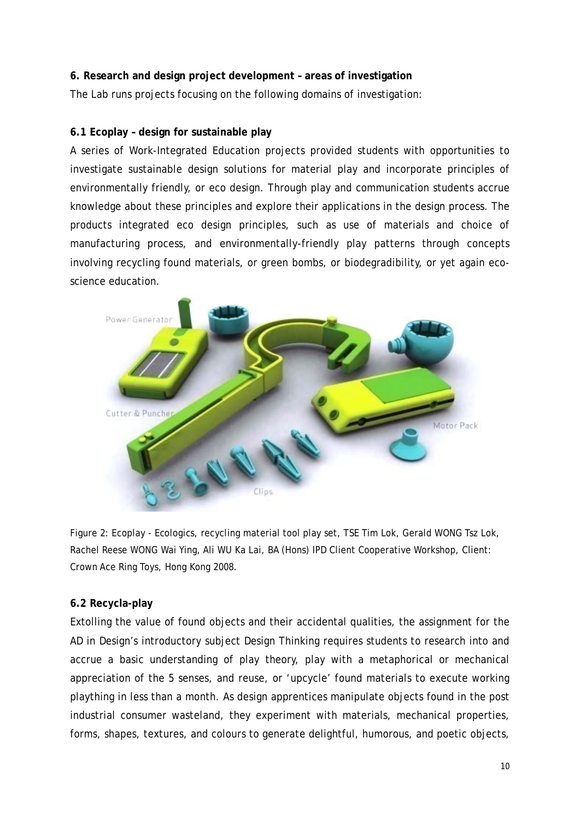## **6. Research and design project development – areas of investigation**

The Lab runs projects focusing on the following domains of investigation:

## **6.1 Ecoplay – design for sustainable play**

A series of Work-Integrated Education projects provided students with opportunities to investigate sustainable design solutions for material play and incorporate principles of environmentally friendly, or eco design. Through play and communication students accrue knowledge about these principles and explore their applications in the design process. The products integrated eco design principles, such as use of materials and choice of manufacturing process, and environmentally-friendly play patterns through concepts involving recycling found materials, or green bombs, or biodegradibility, or yet again ecoscience education.



Figure 2: Ecoplay - *Ecologics*, recycling material tool play set, TSE Tim Lok, Gerald WONG Tsz Lok, Rachel Reese WONG Wai Ying, Ali WU Ka Lai, BA (Hons) IPD Client Cooperative Workshop, Client: Crown Ace Ring Toys, Hong Kong 2008.

## **6.2 Recycla-play**

Extolling the value of found objects and their accidental qualities, the assignment for the AD in Design's introductory subject Design Thinking requires students to research into and accrue a basic understanding of play theory, play with a metaphorical or mechanical appreciation of the 5 senses, and reuse, or 'upcycle' found materials to execute working plaything in less than a month. As design apprentices manipulate objects found in the post industrial consumer wasteland, they experiment with materials, mechanical properties, forms, shapes, textures, and colours to generate delightful, humorous, and poetic objects,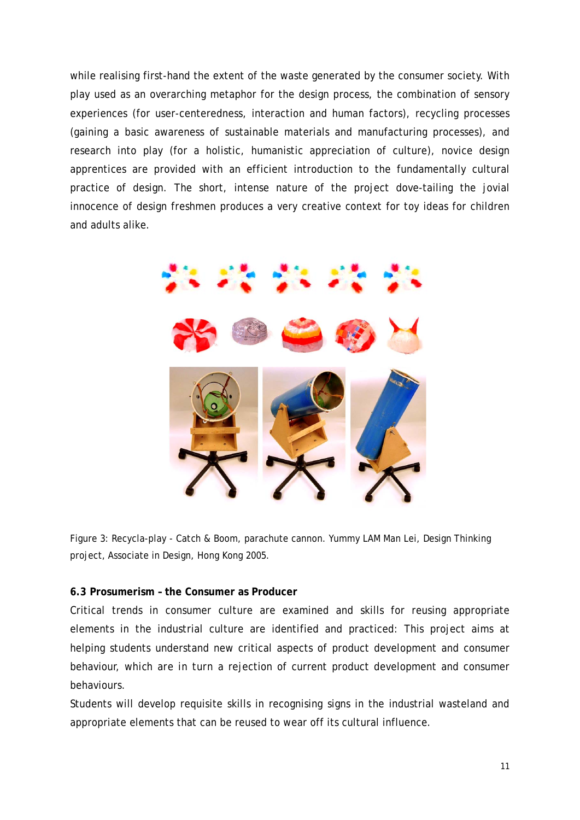while realising first-hand the extent of the waste generated by the consumer society. With play used as an overarching metaphor for the design process, the combination of sensory experiences (for user-centeredness, interaction and human factors), recycling processes (gaining a basic awareness of sustainable materials and manufacturing processes), and research into play (for a holistic, humanistic appreciation of culture), novice design apprentices are provided with an efficient introduction to the fundamentally cultural practice of design. The short, intense nature of the project dove-tailing the jovial innocence of design freshmen produces a very creative context for toy ideas for children and adults alike.



Figure 3: Recycla-play - *Catch & Boom*, parachute cannon. Yummy LAM Man Lei, Design Thinking project, Associate in Design, Hong Kong 2005.

## **6.3 Prosumerism – the Consumer as Producer**

Critical trends in consumer culture are examined and skills for reusing appropriate elements in the industrial culture are identified and practiced: This project aims at helping students understand new critical aspects of product development and consumer behaviour, *which are in turn* a rejection of current product development and consumer behaviours.

Students will develop requisite skills in recognising signs in the industrial wasteland and appropriate elements that can be reused to wear off its cultural influence.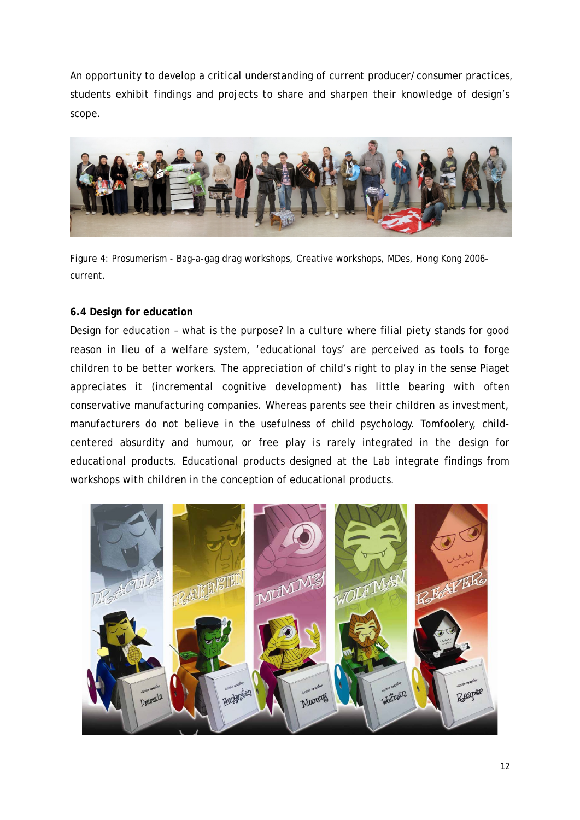An opportunity to develop a critical understanding of current producer/consumer practices, students exhibit findings and projects to share and sharpen their knowledge of design's scope.



Figure 4: Prosumerism - *Bag-a-gag drag workshops*, Creative workshops, MDes, Hong Kong 2006 current.

## **6.4 Design for education**

Design for education – what is the purpose? In a culture where filial piety stands for good reason in lieu of a welfare system, 'educational toys' are perceived as tools to forge children to be better workers. The appreciation of child's right to play in the sense Piaget appreciates it (incremental cognitive development) has little bearing with often conservative manufacturing companies. Whereas parents see their children as investment, manufacturers do not believe in the usefulness of child psychology. Tomfoolery, childcentered absurdity and humour, or free play is rarely integrated in the design for educational products. Educational products designed at the Lab integrate findings from workshops with children in the conception of educational products.

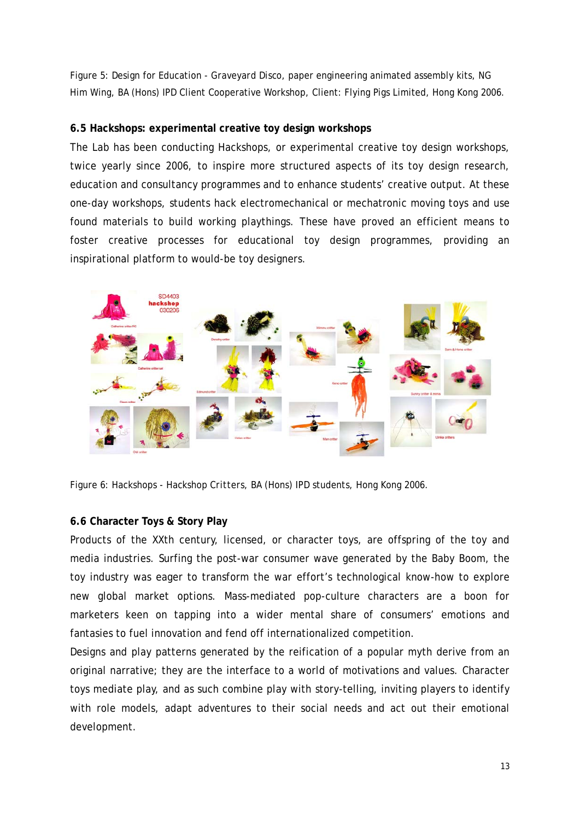Figure 5: Design for Education - *Graveyard Disco*, paper engineering animated assembly kits, NG Him Wing, BA (Hons) IPD Client Cooperative Workshop, Client: Flying Pigs Limited, Hong Kong 2006.

## **6.5 Hackshops: experimental creative toy design workshops**

The Lab has been conducting Hackshops, or experimental creative toy design workshops, twice yearly since 2006, to inspire more structured aspects of its toy design research, education and consultancy programmes and to enhance students' creative output. At these one-day workshops, students hack electromechanical or mechatronic moving toys and use found materials to build working playthings. These have proved an efficient means to foster creative processes for educational toy design programmes, providing an inspirational platform to would-be toy designers.



Figure 6: Hackshops - *Hackshop Critters*, BA (Hons) IPD students, Hong Kong 2006.

## **6.6 Character Toys & Story Play**

Products of the XXth century, licensed, or character toys, are offspring of the toy and media industries. Surfing the post-war consumer wave generated by the Baby Boom, the toy industry was eager to transform the war effort's technological know-how to explore new global market options. Mass-mediated pop-culture characters are a boon for marketers keen on tapping into a wider mental share of consumers' emotions and fantasies to fuel innovation and fend off internationalized competition.

Designs and play patterns generated by the reification of a popular myth derive from an original narrative; they are the interface to a world of motivations and values. Character toys mediate play, and as such combine play with story-telling, inviting players to identify with role models, adapt adventures to their social needs and act out their emotional development.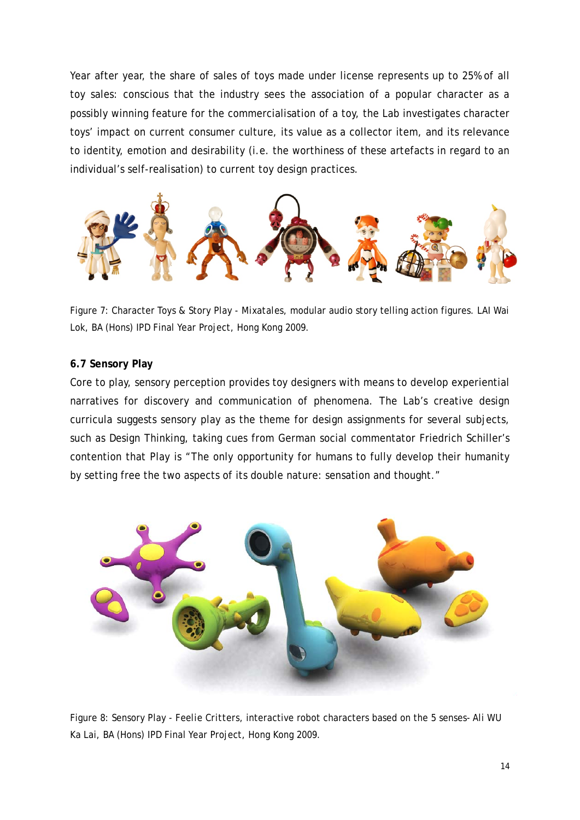Year after year, the share of sales of toys made under license represents up to 25% of all toy sales: conscious that the industry sees the association of a popular character as a possibly winning feature for the commercialisation of a toy, the Lab investigates character toys' impact on current consumer culture, its value as a collector item, and its relevance to identity, emotion and desirability (i.e. the worthiness of these artefacts in regard to an individual's self-realisation) to current toy design practices.



Figure 7: Character Toys & Story Play - *Mixatales*, modular audio story telling action figures. LAI Wai Lok, BA (Hons) IPD Final Year Project, Hong Kong 2009.

#### **6.7 Sensory Play**

Core to play, sensory perception provides toy designers with means to develop experiential narratives for discovery and communication of phenomena. The Lab's creative design curricula suggests sensory play as the theme for design assignments for several subjects, such as Design Thinking, taking cues from German social commentator Friedrich Schiller's contention that Play is "The only opportunity for humans to fully develop their humanity by setting free the two aspects of its double nature: sensation and thought."



Figure 8: Sensory Play - *Feelie Critters*, interactive robot characters based on the 5 senses- Ali WU Ka Lai, BA (Hons) IPD Final Year Project, Hong Kong 2009.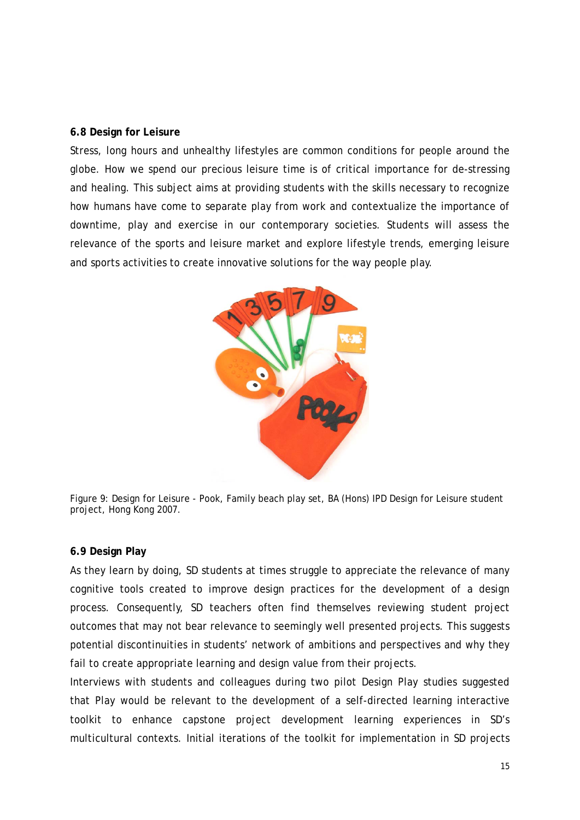#### **6.8 Design for Leisure**

Stress, long hours and unhealthy lifestyles are common conditions for people around the globe. How we spend our precious leisure time is of critical importance for de-stressing and healing. This subject aims at providing students with the skills necessary to recognize how humans have come to separate play from work and contextualize the importance of downtime, play and exercise in our contemporary societies. Students will assess the relevance of the sports and leisure market and explore lifestyle trends, emerging leisure and sports activities to create innovative solutions for the way people play.





#### **6.9 Design Play**

As they learn by doing, SD students at times struggle to appreciate the relevance of many cognitive tools created to improve design practices for the development of a design process. Consequently, SD teachers often find themselves reviewing student project outcomes that may not bear relevance to seemingly well presented projects. This suggests potential discontinuities in students' network of ambitions and perspectives and why they fail to create appropriate learning and design value from their projects.

Interviews with students and colleagues during two pilot Design Play studies suggested that Play would be relevant to the development of a self-directed learning interactive toolkit to enhance capstone project development learning experiences in SD's multicultural contexts. Initial iterations of the toolkit for implementation in SD projects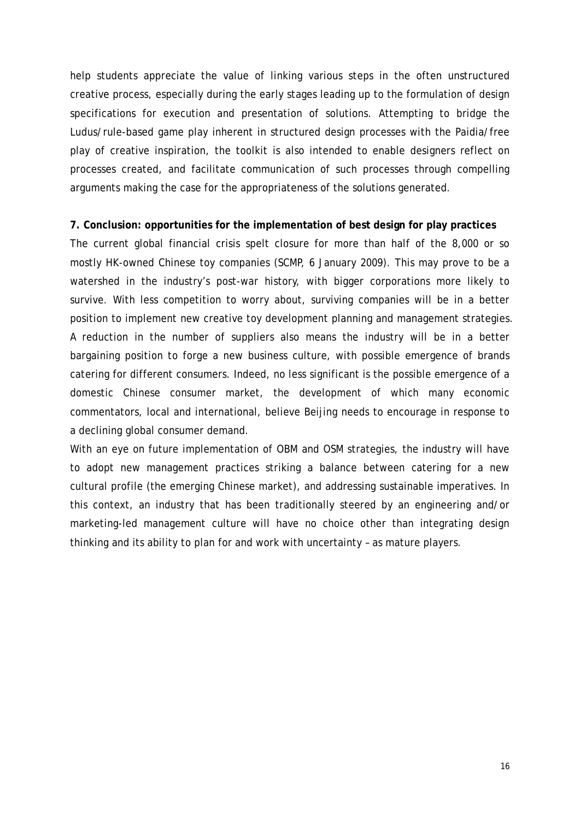help students appreciate the value of linking various steps in the often unstructured creative process, especially during the early stages leading up to the formulation of design specifications for execution and presentation of solutions. Attempting to bridge the Ludus/rule-based game play inherent in structured design processes with the Paidia/free play of creative inspiration, the toolkit is also intended to enable designers reflect on processes created, and facilitate communication of such processes through compelling arguments making the case for the appropriateness of the solutions generated.

## **7. Conclusion: opportunities for the implementation of best design for play practices**

The current global financial crisis spelt closure for more than half of the 8,000 or so mostly HK-owned Chinese toy companies (SCMP, 6 January 2009). This may prove to be a watershed in the industry's post-war history, with bigger corporations more likely to survive. With less competition to worry about, surviving companies will be in a better position to implement new creative toy development planning and management strategies. A reduction in the number of suppliers also means the industry will be in a better bargaining position to forge a new business culture, with possible emergence of brands catering for different consumers. Indeed, no less significant is the possible emergence of a domestic Chinese consumer market, the development of which many economic commentators, local and international, believe Beijing needs to encourage in response to a declining global consumer demand.

With an eye on future implementation of OBM and OSM strategies, the industry will have to adopt new management practices striking a balance between catering for a new cultural profile (the emerging Chinese market), and addressing sustainable imperatives. In this context, an industry that has been traditionally steered by an engineering and/or marketing-led management culture will have no choice other than integrating design thinking and its ability to plan for and work with uncertainty – as mature players.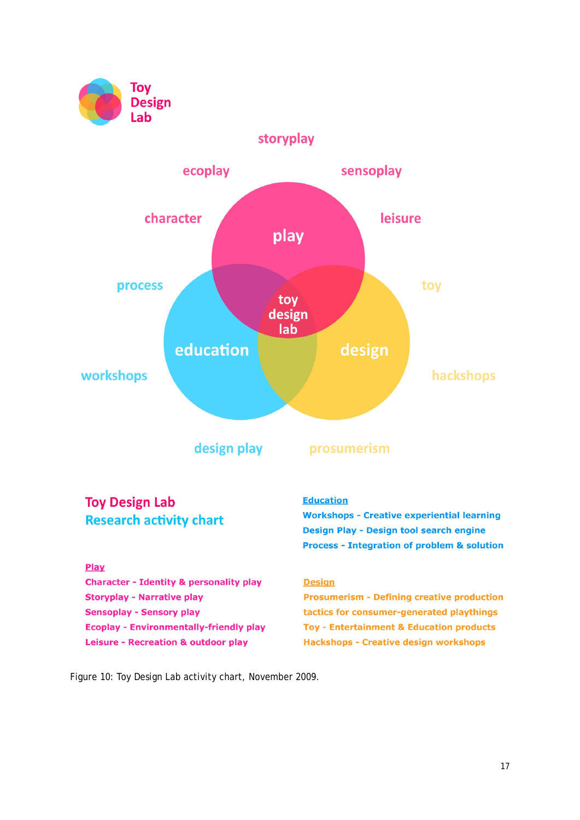



Figure 10: Toy Design Lab activity chart, November 2009.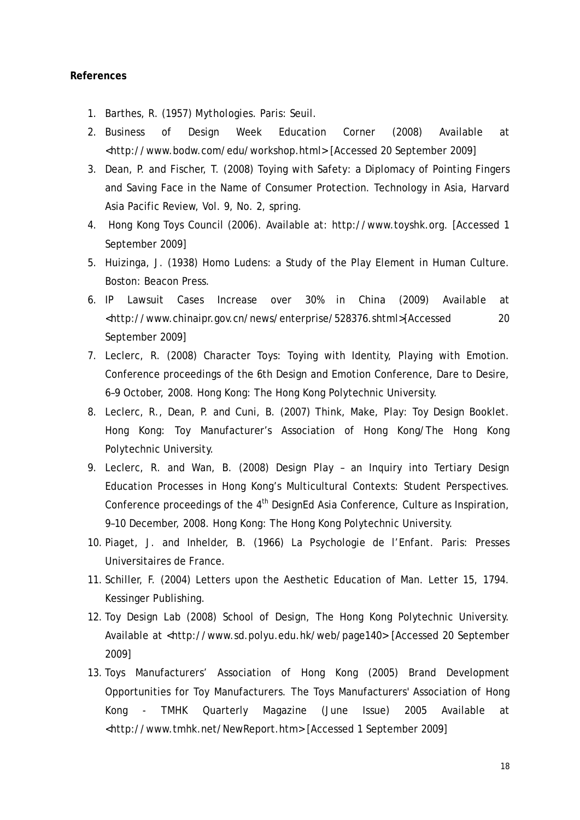#### **References**

- 1. Barthes, R. (1957) *Mythologies*. Paris: Seuil.
- 2. Business of Design Week Education Corner (2008) Available at <http://www.bodw.com/edu/workshop.html> [Accessed 20 September 2009]
- 3. Dean, P. and Fischer, T. (2008) Toying with Safety: a Diplomacy of Pointing Fingers and Saving Face in the Name of Consumer Protection. Technology in Asia, Harvard Asia Pacific Review, Vol. 9, No. 2, spring.
- 4. Hong Kong Toys Council (2006). Available at: http://www.toyshk.org. [Accessed 1 September 2009]
- 5. Huizinga, J. (1938) Homo Ludens: a Study of the Play Element in Human Culture. Boston: Beacon Press.
- 6. IP Lawsuit Cases Increase over 30% in China (2009) Available at <http://www.chinaipr.gov.cn/news/enterprise/528376.shtml>[Accessed 20 September 2009]
- 7. Leclerc, R. (2008) Character Toys: Toying with Identity, Playing with Emotion. Conference proceedings of the 6th Design and Emotion Conference, Dare to Desire, 6–9 October, 2008. Hong Kong: The Hong Kong Polytechnic University.
- 8. Leclerc, R., Dean, P. and Cuni, B. (2007) Think, Make, Play: Toy Design Booklet. Hong Kong: Toy Manufacturer's Association of Hong Kong/The Hong Kong Polytechnic University.
- 9. Leclerc, R. and Wan, B. (2008) Design Play an Inquiry into Tertiary Design Education Processes in Hong Kong's Multicultural Contexts: Student Perspectives. Conference proceedings of the  $4<sup>th</sup>$  DesignEd Asia Conference, Culture as Inspiration, 9–10 December, 2008. Hong Kong: The Hong Kong Polytechnic University.
- 10. Piaget, J. and Inhelder, B. (1966) La Psychologie de l'Enfant. Paris: Presses Universitaires de France.
- 11. Schiller, F. (2004) Letters upon the Aesthetic Education of Man. Letter 15, 1794. Kessinger Publishing.
- 12. Toy Design Lab (2008) School of Design, The Hong Kong Polytechnic University. Available at <http://www.sd.polyu.edu.hk/web/page140> [Accessed 20 September 2009]
- 13. Toys Manufacturers' Association of Hong Kong (2005) Brand Development Opportunities for Toy Manufacturers. The Toys Manufacturers' Association of Hong Kong - TMHK Quarterly Magazine (June Issue) 2005 Available at <http://www.tmhk.net/NewReport.htm> [Accessed 1 September 2009]